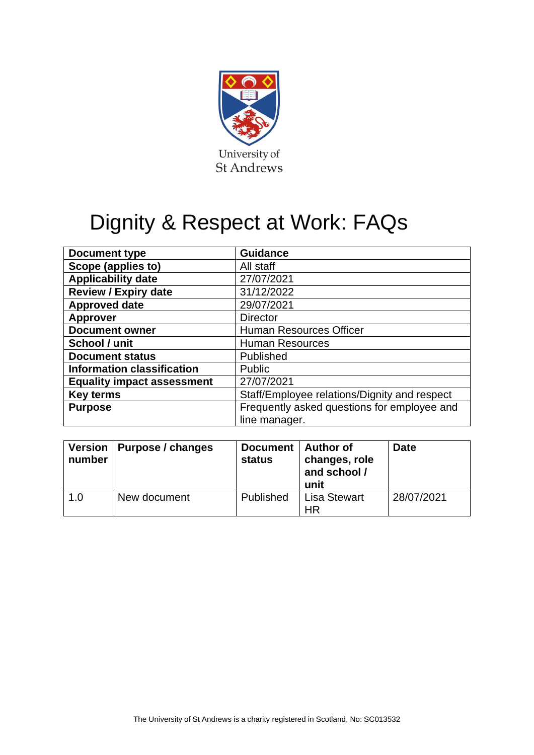

# Dignity & Respect at Work: FAQs

| <b>Document type</b>              | <b>Guidance</b>                              |  |  |
|-----------------------------------|----------------------------------------------|--|--|
| Scope (applies to)                | All staff                                    |  |  |
| <b>Applicability date</b>         | 27/07/2021                                   |  |  |
| <b>Review / Expiry date</b>       | 31/12/2022                                   |  |  |
| <b>Approved date</b>              | 29/07/2021                                   |  |  |
| <b>Approver</b>                   | <b>Director</b>                              |  |  |
| <b>Document owner</b>             | <b>Human Resources Officer</b>               |  |  |
| School / unit                     | <b>Human Resources</b>                       |  |  |
| <b>Document status</b>            | Published                                    |  |  |
| <b>Information classification</b> | Public                                       |  |  |
| <b>Equality impact assessment</b> | 27/07/2021                                   |  |  |
| <b>Key terms</b>                  | Staff/Employee relations/Dignity and respect |  |  |
| <b>Purpose</b>                    | Frequently asked questions for employee and  |  |  |
|                                   | line manager.                                |  |  |

| number | Version   Purpose / changes | Document   Author of<br><b>status</b> | changes, role<br>and school /<br>unit | <b>Date</b> |
|--------|-----------------------------|---------------------------------------|---------------------------------------|-------------|
| 1.0    | New document                | Published                             | <b>Lisa Stewart</b><br><b>HR</b>      | 28/07/2021  |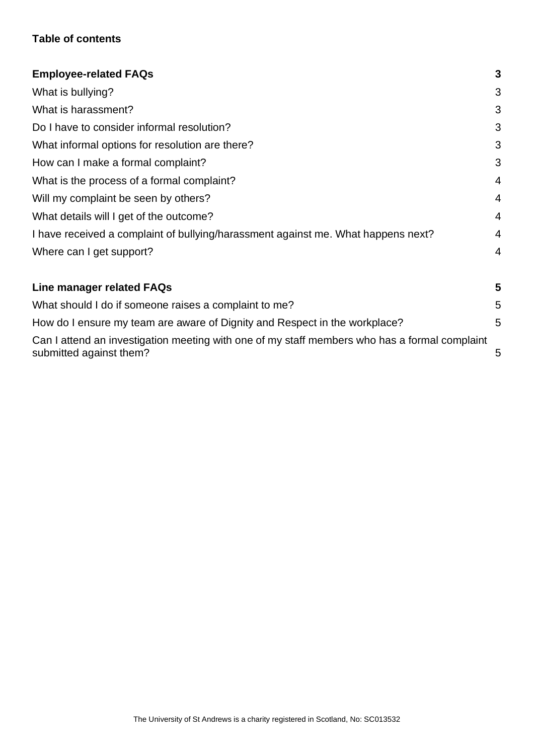# **Table of contents**

| <b>Employee-related FAQs</b>                                                                                             | 3                       |
|--------------------------------------------------------------------------------------------------------------------------|-------------------------|
| What is bullying?                                                                                                        | 3                       |
| What is harassment?                                                                                                      | 3                       |
| Do I have to consider informal resolution?                                                                               | 3                       |
| What informal options for resolution are there?                                                                          | 3                       |
| How can I make a formal complaint?                                                                                       | 3                       |
| What is the process of a formal complaint?                                                                               | 4                       |
| Will my complaint be seen by others?                                                                                     | 4                       |
| What details will I get of the outcome?                                                                                  | 4                       |
| I have received a complaint of bullying/harassment against me. What happens next?                                        | 4                       |
| Where can I get support?                                                                                                 | 4                       |
| Line manager related FAQs                                                                                                | $\overline{\mathbf{5}}$ |
| What should I do if someone raises a complaint to me?                                                                    | 5                       |
| How do I ensure my team are aware of Dignity and Respect in the workplace?                                               | 5                       |
| Can I attend an investigation meeting with one of my staff members who has a formal complaint<br>submitted against them? | 5                       |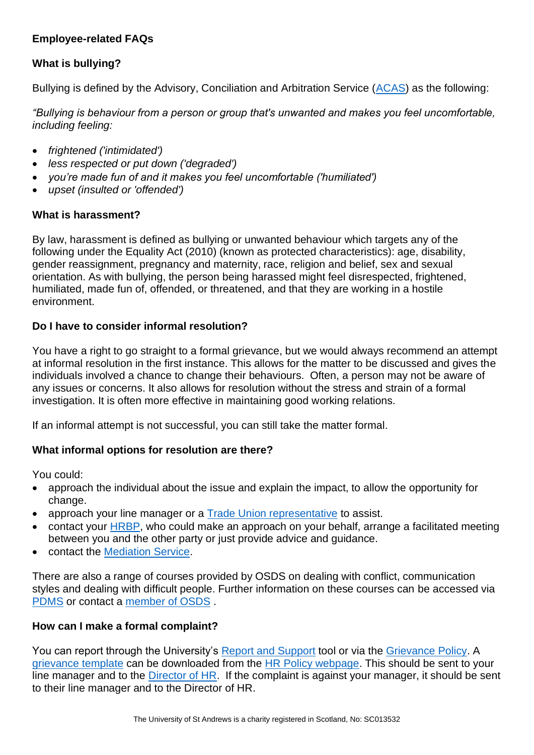# <span id="page-2-0"></span>**Employee-related FAQs**

# <span id="page-2-1"></span>**What is bullying?**

Bullying is defined by the Advisory, Conciliation and Arbitration Service [\(ACAS\)](https://www.acas.org.uk/if-youre-treated-unfairly-at-work/being-bullied) as the following:

*"Bullying is behaviour from a person or group that's unwanted and makes you feel uncomfortable, including feeling:* 

- *frightened ('intimidated')*
- *less respected or put down ('degraded')*
- *you're made fun of and it makes you feel uncomfortable ('humiliated')*
- *upset (insulted or 'offended')*

### <span id="page-2-2"></span>**What is harassment?**

By law, harassment is defined as bullying or unwanted behaviour which targets any of the following under the Equality Act (2010) (known as protected characteristics): age, disability, gender reassignment, pregnancy and maternity, race, religion and belief, sex and sexual orientation. As with bullying, the person being harassed might feel disrespected, frightened, humiliated, made fun of, offended, or threatened, and that they are working in a hostile environment.

## <span id="page-2-3"></span>**Do I have to consider informal resolution?**

You have a right to go straight to a formal grievance, but we would always recommend an attempt at informal resolution in the first instance. This allows for the matter to be discussed and gives the individuals involved a chance to change their behaviours. Often, a person may not be aware of any issues or concerns. It also allows for resolution without the stress and strain of a formal investigation. It is often more effective in maintaining good working relations.

If an informal attempt is not successful, you can still take the matter formal.

### <span id="page-2-4"></span>**What informal options for resolution are there?**

You could:

- approach the individual about the issue and explain the impact, to allow the opportunity for change.
- approach your line manager or a [Trade Union representative](https://www.st-andrews.ac.uk/staff/wellbeing/community/support/tradeunionrepresentatives/) to assist.
- contact your [HRBP,](https://www.st-andrews.ac.uk/hr/businesspartner/) who could make an approach on your behalf, arrange a facilitated meeting between you and the other party or just provide advice and guidance.
- contact the [Mediation Service.](https://www.st-andrews.ac.uk/hr/edi/mediation/)

There are also a range of courses provided by OSDS on dealing with conflict, communication styles and dealing with difficult people. Further information on these courses can be accessed via [PDMS](https://www.st-andrews.ac.uk/pdms/index.php) or contact a [member of OSDS](https://www.st-andrews.ac.uk/osds/meet-the-team/) .

### <span id="page-2-5"></span>**How can I make a formal complaint?**

You can report through the University's [Report and Support](https://reportandsupport.st-andrews.ac.uk/) tool or via the [Grievance Policy.](https://www.st-andrews.ac.uk/policy/staff-employee-relations-resolving-workplace-disputes/grievance-policy.pdf) A [grievance template](https://www.st-andrews.ac.uk/media/human-resources/new-policy-section-documents/grievance/Formal%20Grievance%20Template.docx) can be downloaded from the [HR Policy webpage.](https://www.st-andrews.ac.uk/staff/policy/hr/) This should be sent to your line manager and to the [Director of HR.](mailto:hrdirector@st-andrews.ac.uk) If the complaint is against your manager, it should be sent to their line manager and to the Director of HR.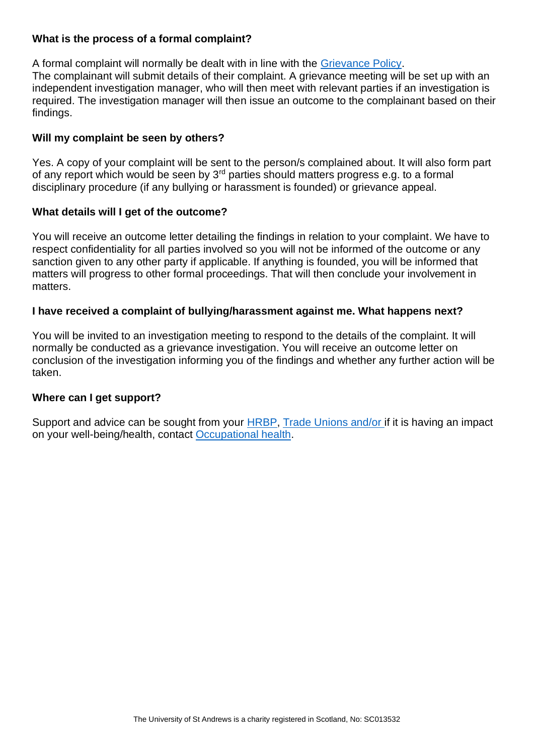## <span id="page-3-0"></span>**What is the process of a formal complaint?**

A formal complaint will normally be dealt with in line with the [Grievance Policy.](https://www.st-andrews.ac.uk/policy/staff-employee-relations-resolving-workplace-disputes/grievance-policy.pdf) The complainant will submit details of their complaint. A grievance meeting will be set up with an independent investigation manager, who will then meet with relevant parties if an investigation is required. The investigation manager will then issue an outcome to the complainant based on their findings.

## <span id="page-3-1"></span>**Will my complaint be seen by others?**

Yes. A copy of your complaint will be sent to the person/s complained about. It will also form part of any report which would be seen by  $3<sup>rd</sup>$  parties should matters progress e.g. to a formal disciplinary procedure (if any bullying or harassment is founded) or grievance appeal.

### <span id="page-3-2"></span>**What details will I get of the outcome?**

You will receive an outcome letter detailing the findings in relation to your complaint. We have to respect confidentiality for all parties involved so you will not be informed of the outcome or any sanction given to any other party if applicable. If anything is founded, you will be informed that matters will progress to other formal proceedings. That will then conclude your involvement in matters.

### <span id="page-3-3"></span>**I have received a complaint of bullying/harassment against me. What happens next?**

You will be invited to an investigation meeting to respond to the details of the complaint. It will normally be conducted as a grievance investigation. You will receive an outcome letter on conclusion of the investigation informing you of the findings and whether any further action will be taken.

### <span id="page-3-4"></span>**Where can I get support?**

Support and advice can be sought from your **HRBP**, [Trade Unions and/or i](https://www.st-andrews.ac.uk/staff/wellbeing/community/support/tradeunionrepresentatives/)f it is having an impact on your well-being/health, contact [Occupational health.](https://www.st-andrews.ac.uk/ehss/occupationalhealth/)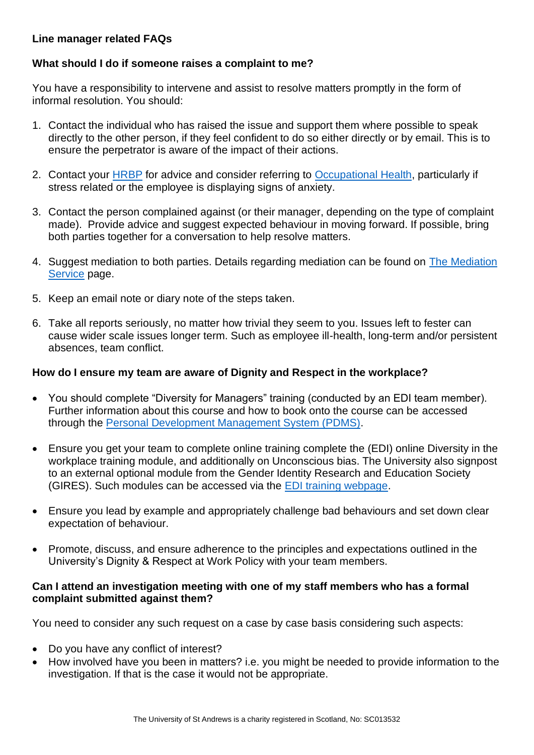## <span id="page-4-0"></span>**Line manager related FAQs**

## <span id="page-4-1"></span>**What should I do if someone raises a complaint to me?**

You have a responsibility to intervene and assist to resolve matters promptly in the form of informal resolution. You should:

- 1. Contact the individual who has raised the issue and support them where possible to speak directly to the other person, if they feel confident to do so either directly or by email. This is to ensure the perpetrator is aware of the impact of their actions.
- 2. Contact your [HRBP](https://www.st-andrews.ac.uk/hr/businesspartner/) for advice and consider referring to [Occupational Health,](https://www.st-andrews.ac.uk/ehss/occupationalhealth/) particularly if stress related or the employee is displaying signs of anxiety.
- 3. Contact the person complained against (or their manager, depending on the type of complaint made). Provide advice and suggest expected behaviour in moving forward. If possible, bring both parties together for a conversation to help resolve matters.
- 4. Suggest mediation to both parties. Details regarding mediation can be found on [The Mediation](https://www.st-andrews.ac.uk/hr/edi/mediation/)  [Service](https://www.st-andrews.ac.uk/hr/edi/mediation/) page.
- 5. Keep an email note or diary note of the steps taken.
- 6. Take all reports seriously, no matter how trivial they seem to you. Issues left to fester can cause wider scale issues longer term. Such as employee ill-health, long-term and/or persistent absences, team conflict.

## <span id="page-4-2"></span>**How do I ensure my team are aware of Dignity and Respect in the workplace?**

- You should complete "Diversity for Managers" training (conducted by an EDI team member). Further information about this course and how to book onto the course can be accessed through the [Personal Development Management System \(PDMS\).](https://www.st-andrews.ac.uk/pdms/)
- Ensure you get your team to complete online training complete the (EDI) online Diversity in the workplace training module, and additionally on Unconscious bias. The University also signpost to an external optional module from the Gender Identity Research and Education Society (GIRES). Such modules can be accessed via the [EDI training webpage.](https://www.standrews.ac.uk/hr/edi/training/)
- Ensure you lead by example and appropriately challenge bad behaviours and set down clear expectation of behaviour.
- Promote, discuss, and ensure adherence to the principles and expectations outlined in the University's Dignity & Respect at Work Policy with your team members.

#### <span id="page-4-3"></span>**Can I attend an investigation meeting with one of my staff members who has a formal complaint submitted against them?**

You need to consider any such request on a case by case basis considering such aspects:

- Do you have any conflict of interest?
- How involved have you been in matters? i.e. you might be needed to provide information to the investigation. If that is the case it would not be appropriate.